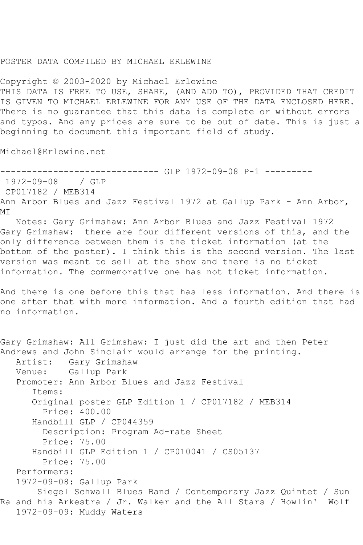## POSTER DATA COMPILED BY MICHAEL ERLEWINE

Copyright © 2003-2020 by Michael Erlewine THIS DATA IS FREE TO USE, SHARE, (AND ADD TO), PROVIDED THAT CREDIT IS GIVEN TO MICHAEL ERLEWINE FOR ANY USE OF THE DATA ENCLOSED HERE. There is no guarantee that this data is complete or without errors and typos. And any prices are sure to be out of date. This is just a beginning to document this important field of study.

Michael@Erlewine.net

------------------------------ GLP 1972-09-08 P-1 --------- 1972-09-08 / GLP CP017182 / MEB314 Ann Arbor Blues and Jazz Festival 1972 at Gallup Park - Ann Arbor, MI

 Notes: Gary Grimshaw: Ann Arbor Blues and Jazz Festival 1972 Gary Grimshaw: there are four different versions of this, and the only difference between them is the ticket information (at the bottom of the poster). I think this is the second version. The last version was meant to sell at the show and there is no ticket information. The commemorative one has not ticket information.

And there is one before this that has less information. And there is one after that with more information. And a fourth edition that had no information.

Gary Grimshaw: All Grimshaw: I just did the art and then Peter Andrews and John Sinclair would arrange for the printing. Artist: Gary Grimshaw Venue: Gallup Park Promoter: Ann Arbor Blues and Jazz Festival Items: Original poster GLP Edition 1 / CP017182 / MEB314 Price: 400.00 Handbill GLP / CP044359 Description: Program Ad-rate Sheet Price: 75.00 Handbill GLP Edition 1 / CP010041 / CS05137 Price: 75.00 Performers: 1972-09-08: Gallup Park Siegel Schwall Blues Band / Contemporary Jazz Quintet / Sun Ra and his Arkestra / Jr. Walker and the All Stars / Howlin' Wolf 1972-09-09: Muddy Waters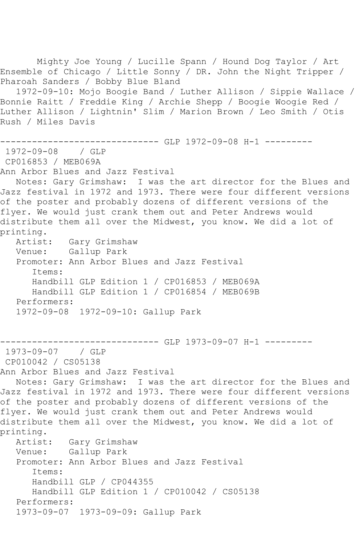Mighty Joe Young / Lucille Spann / Hound Dog Taylor / Art Ensemble of Chicago / Little Sonny / DR. John the Night Tripper / Pharoah Sanders / Bobby Blue Bland 1972-09-10: Mojo Boogie Band / Luther Allison / Sippie Wallace / Bonnie Raitt / Freddie King / Archie Shepp / Boogie Woogie Red / Luther Allison / Lightnin' Slim / Marion Brown / Leo Smith / Otis Rush / Miles Davis ------------------------------ GLP 1972-09-08 H-1 --------- 1972-09-08 / GLP CP016853 / MEB069A Ann Arbor Blues and Jazz Festival Notes: Gary Grimshaw: I was the art director for the Blues and Jazz festival in 1972 and 1973. There were four different versions of the poster and probably dozens of different versions of the flyer. We would just crank them out and Peter Andrews would distribute them all over the Midwest, you know. We did a lot of printing.<br>:Artist Gary Grimshaw Venue: Gallup Park Promoter: Ann Arbor Blues and Jazz Festival Items: Handbill GLP Edition 1 / CP016853 / MEB069A Handbill GLP Edition 1 / CP016854 / MEB069B Performers: 1972-09-08 1972-09-10: Gallup Park ------------------------------ GLP 1973-09-07 H-1 --------- 1973-09-07 / GLP CP010042 / CS05138 Ann Arbor Blues and Jazz Festival Notes: Gary Grimshaw: I was the art director for the Blues and Jazz festival in 1972 and 1973. There were four different versions of the poster and probably dozens of different versions of the flyer. We would just crank them out and Peter Andrews would distribute them all over the Midwest, you know. We did a lot of printing. Artist: Gary Grimshaw Venue: Gallup Park Promoter: Ann Arbor Blues and Jazz Festival Items: Handbill GLP / CP044355 Handbill GLP Edition 1 / CP010042 / CS05138 Performers:

1973-09-07 1973-09-09: Gallup Park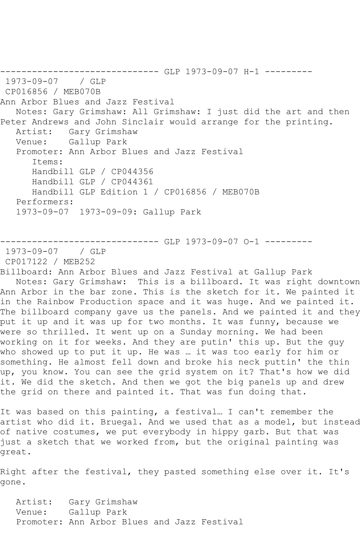------------------------------ GLP 1973-09-07 H-1 --------- 1973-09-07 / GLP CP016856 / MEB070B Ann Arbor Blues and Jazz Festival Notes: Gary Grimshaw: All Grimshaw: I just did the art and then Peter Andrews and John Sinclair would arrange for the printing. Artist: Gary Grimshaw Venue: Gallup Park Promoter: Ann Arbor Blues and Jazz Festival Items: Handbill GLP / CP044356 Handbill GLP / CP044361 Handbill GLP Edition 1 / CP016856 / MEB070B Performers: 1973-09-07 1973-09-09: Gallup Park

------------------------------ GLP 1973-09-07 O-1 ---------

1973-09-07 / GLP

CP017122 / MEB252

Billboard: Ann Arbor Blues and Jazz Festival at Gallup Park

 Notes: Gary Grimshaw: This is a billboard. It was right downtown Ann Arbor in the bar zone. This is the sketch for it. We painted it in the Rainbow Production space and it was huge. And we painted it. The billboard company gave us the panels. And we painted it and they put it up and it was up for two months. It was funny, because we were so thrilled. It went up on a Sunday morning. We had been working on it for weeks. And they are putin' this up. But the guy who showed up to put it up. He was … it was too early for him or something. He almost fell down and broke his neck puttin' the thin up, you know. You can see the grid system on it? That's how we did it. We did the sketch. And then we got the big panels up and drew the grid on there and painted it. That was fun doing that.

It was based on this painting, a festival… I can't remember the artist who did it. Bruegal. And we used that as a model, but instead of native costumes, we put everybody in hippy garb. But that was just a sketch that we worked from, but the original painting was great.

Right after the festival, they pasted something else over it. It's gone.

 Artist: Gary Grimshaw Venue: Gallup Park Promoter: Ann Arbor Blues and Jazz Festival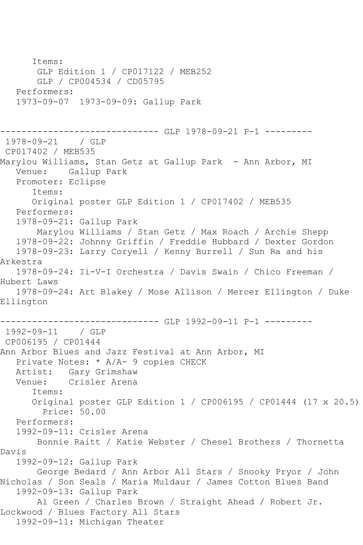Items: GLP Edition 1 / CP017122 / MEB252 GLP / CP004534 / CD05795 Performers: 1973-09-07 1973-09-09: Gallup Park ------------------------------ GLP 1978-09-21 P-1 --------- 1978-09-21 / GLP CP017402 / MEB535 Marylou Williams, Stan Getz at Gallup Park – Ann Arbor, MI<br>Venue: Gallup Park Gallup Park Promoter: Eclipse Items: Original poster GLP Edition 1 / CP017402 / MEB535 Performers: 1978-09-21: Gallup Park Marylou Williams / Stan Getz / Max Roach / Archie Shepp 1978-09-22: Johnny Griffin / Freddie Hubbard / Dexter Gordon 1978-09-23: Larry Coryell / Kenny Burrell / Sun Ra and his Arkestra 1978-09-24: Ii-V-I Orchestra / Davis Swain / Chico Freeman / Hubert Laws 1978-09-24: Art Blakey / Mose Allison / Mercer Ellington / Duke Ellington ------------------------------ GLP 1992-09-11 P-1 --------- 1992-09-11 / GLP CP006195 / CP01444 Ann Arbor Blues and Jazz Festival at Ann Arbor, MI Private Notes: \* A/A- 9 copies CHECK Artist: Gary Grimshaw<br>Venue: Crisler Arena Crisler Arena Items: Original poster GLP Edition 1 / CP006195 / CP01444 (17 x 20.5) Price: 50.00 Performers: 1992-09-11: Crisler Arena Bonnie Raitt / Katie Webster / Chesel Brothers / Thornetta Davis 1992-09-12: Gallup Park George Bedard / Ann Arbor All Stars / Snooky Pryor / John Nicholas / Son Seals / Maria Muldaur / James Cotton Blues Band 1992-09-13: Gallup Park Al Green / Charles Brown / Straight Ahead / Robert Jr. Lockwood / Blues Factory All Stars 1992-09-11: Michigan Theater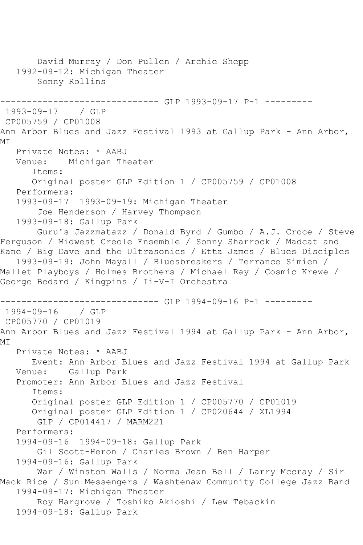David Murray / Don Pullen / Archie Shepp 1992-09-12: Michigan Theater Sonny Rollins ----------------------------- GLP 1993-09-17 P-1 ----------1993-09-17 / GLP CP005759 / CP01008 Ann Arbor Blues and Jazz Festival 1993 at Gallup Park - Ann Arbor, MT Private Notes: \* AABJ<br>Venue: Michigan The Michigan Theater Items: Original poster GLP Edition 1 / CP005759 / CP01008 Performers: 1993-09-17 1993-09-19: Michigan Theater Joe Henderson / Harvey Thompson 1993-09-18: Gallup Park Guru's Jazzmatazz / Donald Byrd / Gumbo / A.J. Croce / Steve Ferguson / Midwest Creole Ensemble / Sonny Sharrock / Madcat and Kane / Big Dave and the Ultrasonics / Etta James / Blues Disciples 1993-09-19: John Mayall / Bluesbreakers / Terrance Simien / Mallet Playboys / Holmes Brothers / Michael Ray / Cosmic Krewe / George Bedard / Kingpins / Ii-V-I Orchestra ---------- GLP 1994-09-16 P-1 ---------1994-09-16 / GLP CP005770 / CP01019 Ann Arbor Blues and Jazz Festival 1994 at Gallup Park - Ann Arbor, MI Private Notes: \* AABJ Event: Ann Arbor Blues and Jazz Festival 1994 at Gallup Park Venue: Gallup Park Promoter: Ann Arbor Blues and Jazz Festival Items: Original poster GLP Edition 1 / CP005770 / CP01019 Original poster GLP Edition 1 / CP020644 / XL1994 GLP / CP014417 / MARM221 Performers: 1994-09-16 1994-09-18: Gallup Park Gil Scott-Heron / Charles Brown / Ben Harper 1994-09-16: Gallup Park War / Winston Walls / Norma Jean Bell / Larry Mccray / Sir Mack Rice / Sun Messengers / Washtenaw Community College Jazz Band 1994-09-17: Michigan Theater Roy Hargrove / Toshiko Akioshi / Lew Tebackin 1994-09-18: Gallup Park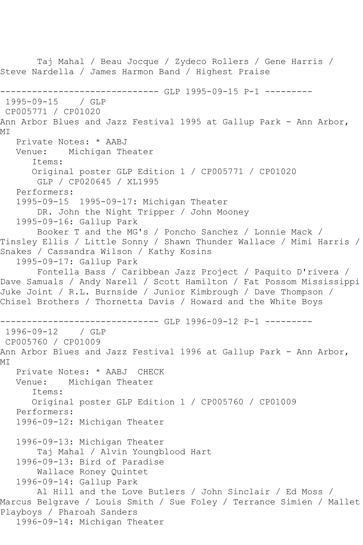Taj Mahal / Beau Jocque / Zydeco Rollers / Gene Harris / Steve Nardella / James Harmon Band / Highest Praise ------------------------------ GLP 1995-09-15 P-1 --------- 1995-09-15 / GLP CP005771 / CP01020 Ann Arbor Blues and Jazz Festival 1995 at Gallup Park - Ann Arbor, MI Private Notes: \* AABJ Venue: Michigan Theater Items: Original poster GLP Edition 1 / CP005771 / CP01020 GLP / CP020645 / XL1995 Performers: 1995-09-15 1995-09-17: Michigan Theater DR. John the Night Tripper / John Mooney 1995-09-16: Gallup Park Booker T and the MG's / Poncho Sanchez / Lonnie Mack / Tinsley Ellis / Little Sonny / Shawn Thunder Wallace / Mimi Harris / Snakes / Cassandra Wilson / Kathy Kosins 1995-09-17: Gallup Park Fontella Bass / Caribbean Jazz Project / Paquito D'rivera / Dave Samuals / Andy Narell / Scott Hamilton / Fat Possom Mississippi Juke Joint / R.L. Burnside / Junior Kimbrough / Dave Thompson / Chisel Brothers / Thornetta Davis / Howard and the White Boys ----------------------------- GLP 1996-09-12 P-1 ----------1996-09-12 / GLP CP005760 / CP01009 Ann Arbor Blues and Jazz Festival 1996 at Gallup Park - Ann Arbor, MI Private Notes: \* AABJ CHECK Venue: Michigan Theater Items: Original poster GLP Edition 1 / CP005760 / CP01009 Performers: 1996-09-12: Michigan Theater 1996-09-13: Michigan Theater Taj Mahal / Alvin Youngblood Hart 1996-09-13: Bird of Paradise Wallace Roney Quintet 1996-09-14: Gallup Park Al Hill and the Love Butlers / John Sinclair / Ed Moss / Marcus Belgrave / Louis Smith / Sue Foley / Terrance Simien / Mallet Playboys / Pharoah Sanders 1996-09-14: Michigan Theater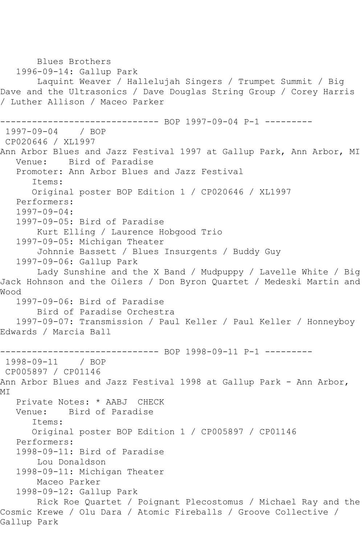Blues Brothers 1996-09-14: Gallup Park Laquint Weaver / Hallelujah Singers / Trumpet Summit / Big Dave and the Ultrasonics / Dave Douglas String Group / Corey Harris / Luther Allison / Maceo Parker ------------------------------ BOP 1997-09-04 P-1 --------- 1997-09-04 / BOP CP020646 / XL1997 Ann Arbor Blues and Jazz Festival 1997 at Gallup Park, Ann Arbor, MI Venue: Bird of Paradise Promoter: Ann Arbor Blues and Jazz Festival Items: Original poster BOP Edition 1 / CP020646 / XL1997 Performers: 1997-09-04: 1997-09-05: Bird of Paradise Kurt Elling / Laurence Hobgood Trio 1997-09-05: Michigan Theater Johnnie Bassett / Blues Insurgents / Buddy Guy 1997-09-06: Gallup Park Lady Sunshine and the X Band / Mudpuppy / Lavelle White / Big Jack Hohnson and the Oilers / Don Byron Quartet / Medeski Martin and Wood 1997-09-06: Bird of Paradise Bird of Paradise Orchestra 1997-09-07: Transmission / Paul Keller / Paul Keller / Honneyboy Edwards / Marcia Ball ------------------------------ BOP 1998-09-11 P-1 --------- 1998-09-11 / BOP CP005897 / CP01146 Ann Arbor Blues and Jazz Festival 1998 at Gallup Park - Ann Arbor, MI Private Notes: \* AABJ CHECK Venue: Bird of Paradise Items: Original poster BOP Edition 1 / CP005897 / CP01146 Performers: 1998-09-11: Bird of Paradise Lou Donaldson 1998-09-11: Michigan Theater Maceo Parker 1998-09-12: Gallup Park Rick Roe Quartet / Poignant Plecostomus / Michael Ray and the Cosmic Krewe / Olu Dara / Atomic Fireballs / Groove Collective / Gallup Park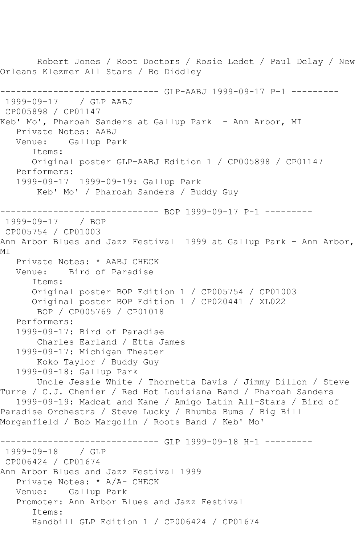Robert Jones / Root Doctors / Rosie Ledet / Paul Delay / New Orleans Klezmer All Stars / Bo Diddley ------------------------------ GLP-AABJ 1999-09-17 P-1 --------- 1999-09-17 / GLP AABJ CP005898 / CP01147 Keb' Mo', Pharoah Sanders at Gallup Park - Ann Arbor, MI Private Notes: AABJ Venue: Gallup Park Items: Original poster GLP-AABJ Edition 1 / CP005898 / CP01147 Performers: 1999-09-17 1999-09-19: Gallup Park Keb' Mo' / Pharoah Sanders / Buddy Guy --------------------- BOP 1999-09-17 P-1 ---------1999-09-17 / BOP CP005754 / CP01003 Ann Arbor Blues and Jazz Festival 1999 at Gallup Park - Ann Arbor, MI Private Notes: \* AABJ CHECK Venue: Bird of Paradise Items: Original poster BOP Edition 1 / CP005754 / CP01003 Original poster BOP Edition 1 / CP020441 / XL022 BOP / CP005769 / CP01018 Performers: 1999-09-17: Bird of Paradise Charles Earland / Etta James 1999-09-17: Michigan Theater Koko Taylor / Buddy Guy 1999-09-18: Gallup Park Uncle Jessie White / Thornetta Davis / Jimmy Dillon / Steve Turre / C.J. Chenier / Red Hot Louisiana Band / Pharoah Sanders 1999-09-19: Madcat and Kane / Amigo Latin All-Stars / Bird of Paradise Orchestra / Steve Lucky / Rhumba Bums / Big Bill Morganfield / Bob Margolin / Roots Band / Keb' Mo' ------------------------------ GLP 1999-09-18 H-1 --------- 1999-09-18 / GLP CP006424 / CP01674 Ann Arbor Blues and Jazz Festival 1999 Private Notes: \* A/A- CHECK Venue: Gallup Park Promoter: Ann Arbor Blues and Jazz Festival Items: Handbill GLP Edition 1 / CP006424 / CP01674